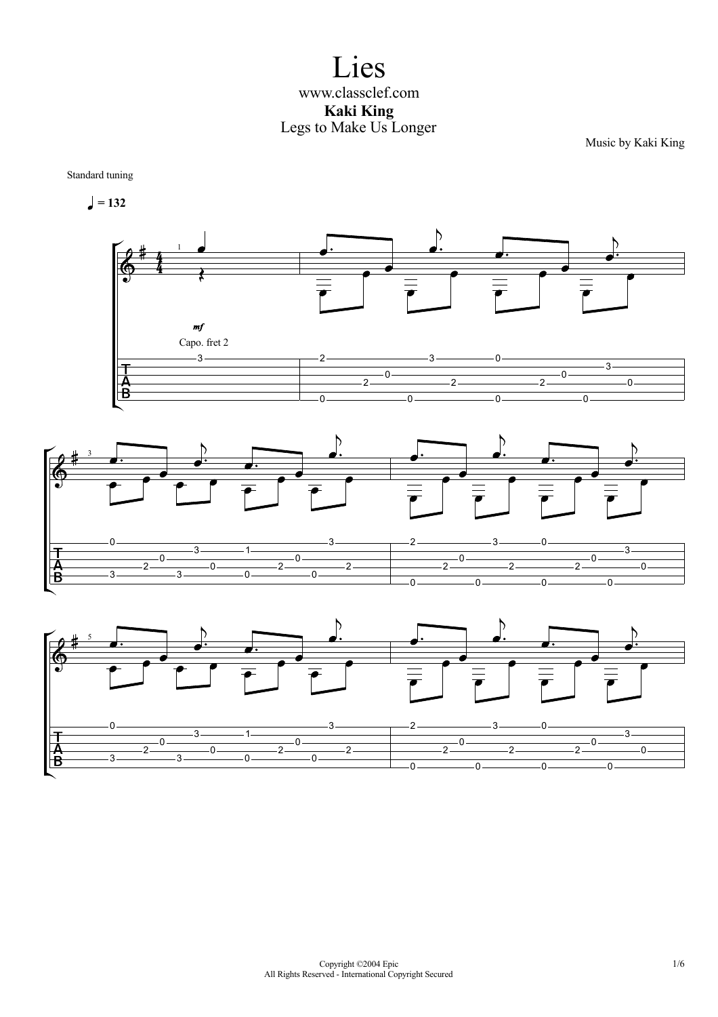Lies www.classclef.com **Kaki King** Legs to Make Us Longer

Music by Kaki King







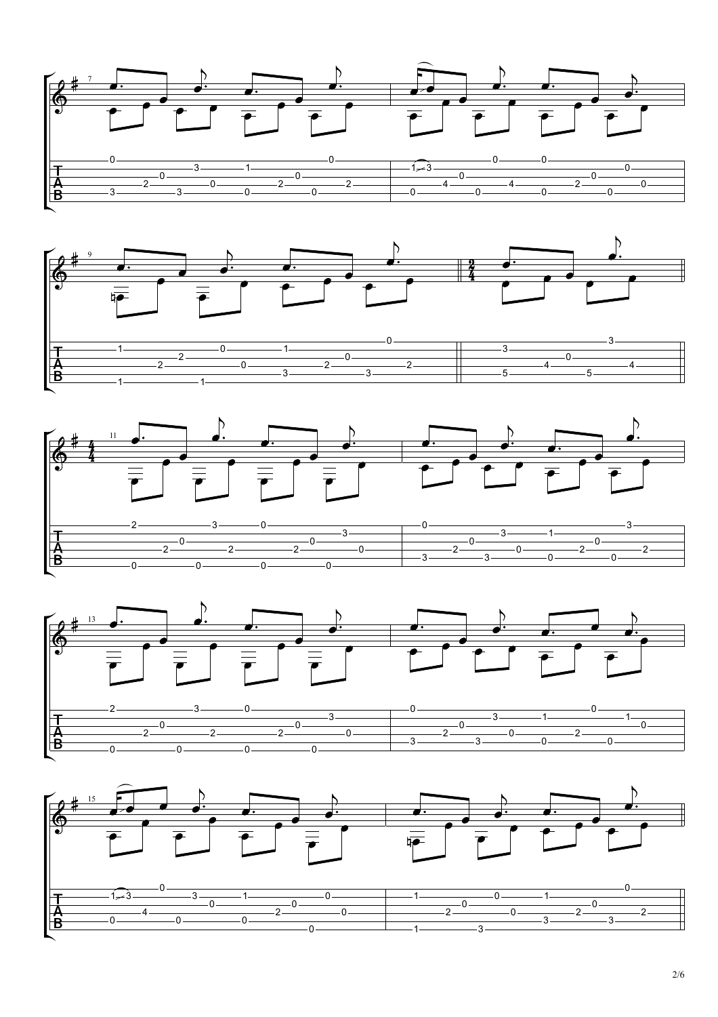







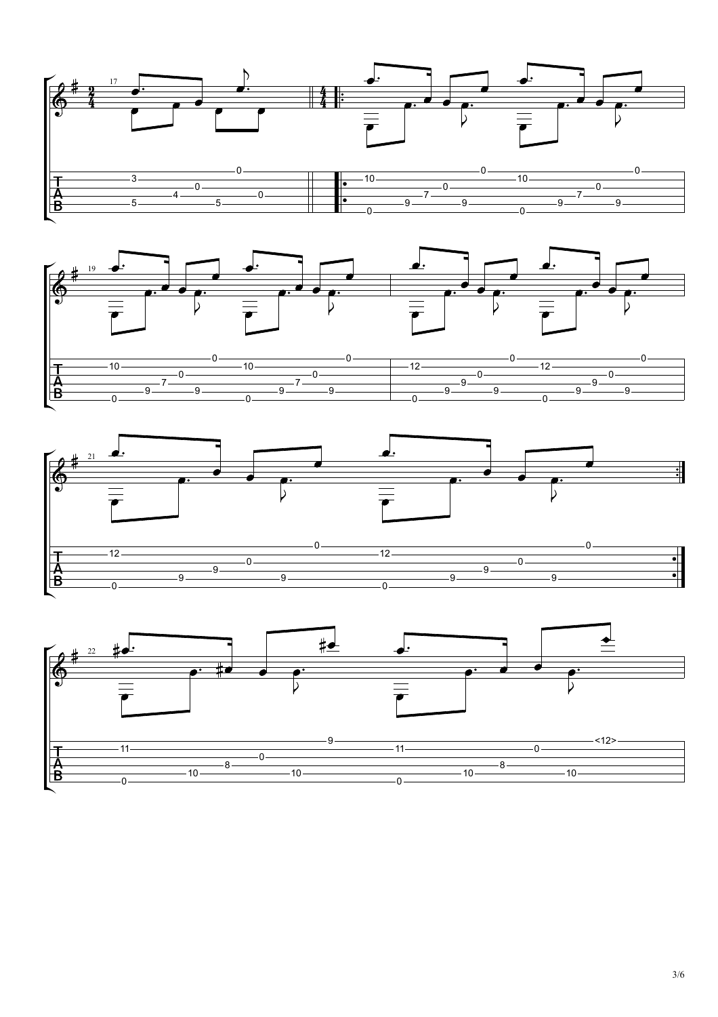





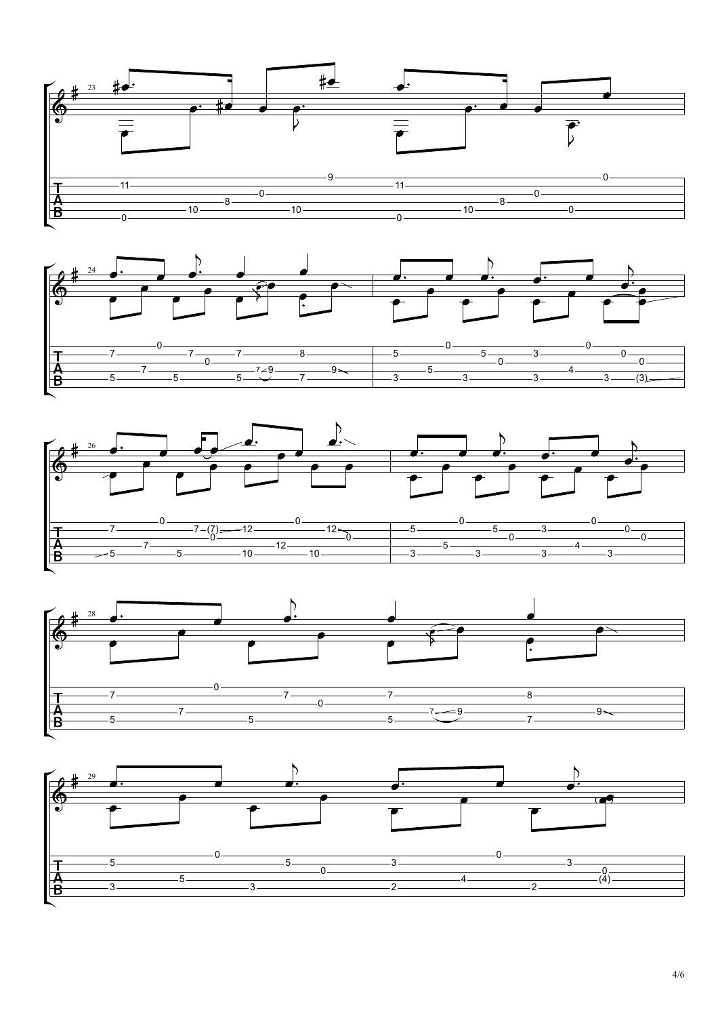







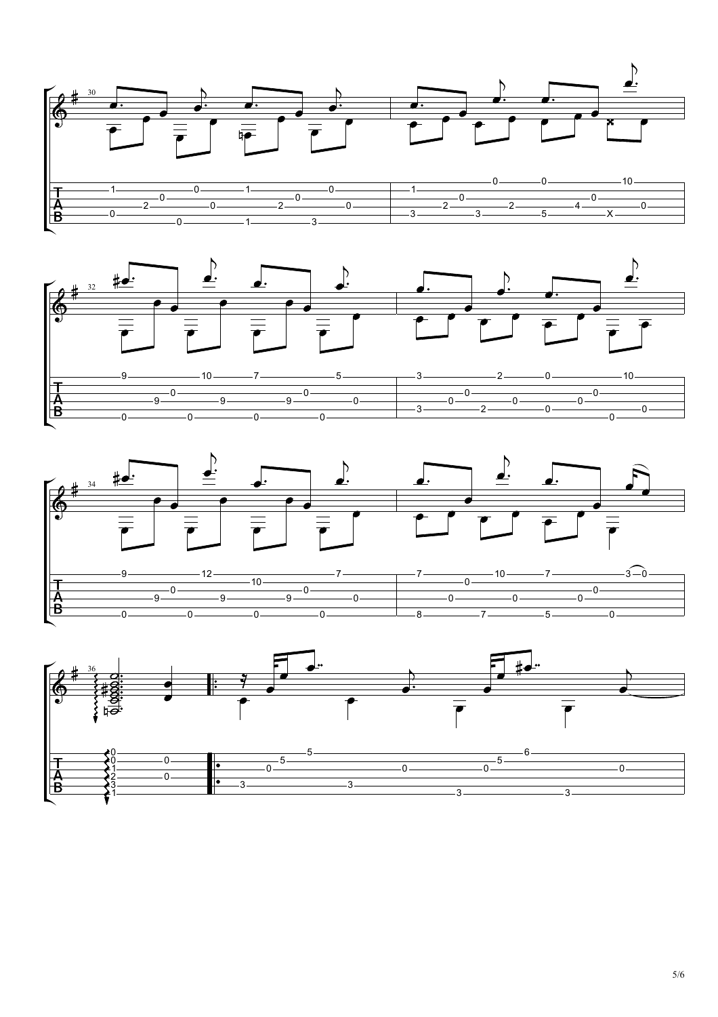